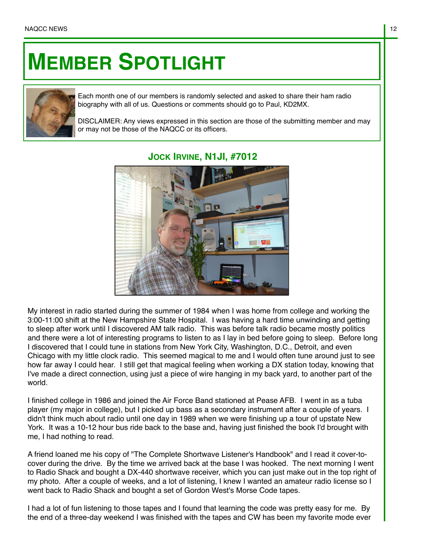## **MEMBER SPOTLIGHT**



Each month one of our members is randomly selected and asked to share their ham radio biography with all of us. Questions or comments should go to Paul, KD2MX.

DISCLAIMER: Any views expressed in this section are those of the submitting member and may or may not be those of the NAQCC or its officers.



## **JOCK IRVINE, N1JI, #7012**

My interest in radio started during the summer of 1984 when I was home from college and working the 3:00-11:00 shift at the New Hampshire State Hospital. I was having a hard time unwinding and getting to sleep after work until I discovered AM talk radio. This was before talk radio became mostly politics and there were a lot of interesting programs to listen to as I lay in bed before going to sleep. Before long I discovered that I could tune in stations from New York City, Washington, D.C., Detroit, and even Chicago with my little clock radio. This seemed magical to me and I would often tune around just to see how far away I could hear. I still get that magical feeling when working a DX station today, knowing that I've made a direct connection, using just a piece of wire hanging in my back yard, to another part of the world.

I finished college in 1986 and joined the Air Force Band stationed at Pease AFB. I went in as a tuba player (my major in college), but I picked up bass as a secondary instrument after a couple of years. I didn't think much about radio until one day in 1989 when we were finishing up a tour of upstate New York. It was a 10-12 hour bus ride back to the base and, having just finished the book I'd brought with me, I had nothing to read.

A friend loaned me his copy of "The Complete Shortwave Listener's Handbook" and I read it cover-tocover during the drive. By the time we arrived back at the base I was hooked. The next morning I went to Radio Shack and bought a DX-440 shortwave receiver, which you can just make out in the top right of my photo. After a couple of weeks, and a lot of listening, I knew I wanted an amateur radio license so I went back to Radio Shack and bought a set of Gordon West's Morse Code tapes.

I had a lot of fun listening to those tapes and I found that learning the code was pretty easy for me. By the end of a three-day weekend I was finished with the tapes and CW has been my favorite mode ever